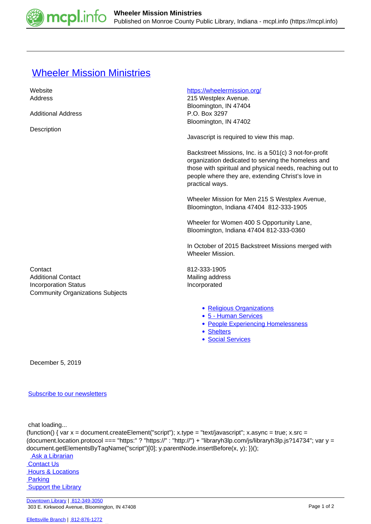

## **[Wheeler Mission Ministries](https://mcpl.info/commorg/wheeler-mission-ministries)**

| Website                                                                | https://wheelermission.org/                                                                                                                                                                                                                      |
|------------------------------------------------------------------------|--------------------------------------------------------------------------------------------------------------------------------------------------------------------------------------------------------------------------------------------------|
| Address                                                                | 215 Westplex Avenue.                                                                                                                                                                                                                             |
|                                                                        | Bloomington, IN 47404                                                                                                                                                                                                                            |
| <b>Additional Address</b>                                              | P.O. Box 3297                                                                                                                                                                                                                                    |
|                                                                        | Bloomington, IN 47402                                                                                                                                                                                                                            |
| Description                                                            |                                                                                                                                                                                                                                                  |
|                                                                        | Javascript is required to view this map.                                                                                                                                                                                                         |
|                                                                        | Backstreet Missions, Inc. is a 501(c) 3 not-for-profit<br>organization dedicated to serving the homeless and<br>those with spiritual and physical needs, reaching out to<br>people where they are, extending Christ's love in<br>practical ways. |
|                                                                        | Wheeler Mission for Men 215 S Westplex Avenue,<br>Bloomington, Indiana 47404 812-333-1905                                                                                                                                                        |
|                                                                        | Wheeler for Women 400 S Opportunity Lane,<br>Bloomington, Indiana 47404 812-333-0360                                                                                                                                                             |
|                                                                        | In October of 2015 Backstreet Missions merged with<br><b>Wheeler Mission.</b>                                                                                                                                                                    |
| Contact                                                                | 812-333-1905                                                                                                                                                                                                                                     |
| <b>Additional Contact</b>                                              | Mailing address                                                                                                                                                                                                                                  |
| <b>Incorporation Status</b><br><b>Community Organizations Subjects</b> | Incorporated                                                                                                                                                                                                                                     |
|                                                                        | • Religious Organizations<br>• 5 - Human Services<br>• People Experiencing Homelessness<br>• Shelters<br>· Social Services                                                                                                                       |

December 5, 2019

## [Subscribe to our newsletters](https://mcpl.info/geninfo/subscribe-think-library-newsletter)

chat loading...

```
(function() { var x = document.createElement("script"); x.type = "text/javascript"; x.async = true; x.src =
(document.location.protocol === "https:" ? "https://" : "http://") + "libraryh3lp.com/js/libraryh3lp.js?14734"; var y =
document.getElementsByTagName("script")[0]; y.parentNode.insertBefore(x, y); })(); 
  Ask a Librarian
```
 [Contact Us](https://mcpl.info/geninfo/contact-us) **Hours & Locations Parking Support the Library**